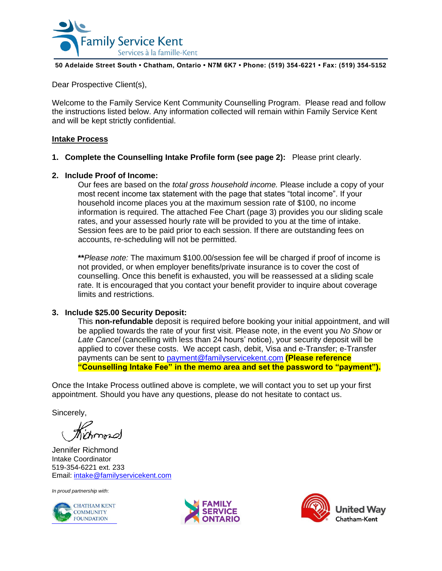

#### **50 Adelaide Street South • Chatham, Ontario • N7M 6K7 • Phone: (519) 354-6221 • Fax: (519) 354-5152**

Dear Prospective Client(s),

Welcome to the Family Service Kent Community Counselling Program. Please read and follow the instructions listed below. Any information collected will remain within Family Service Kent and will be kept strictly confidential.

## **Intake Process**

**1. Complete the Counselling Intake Profile form (see page 2):** Please print clearly.

## **2. Include Proof of Income:**

Our fees are based on the *total gross household income.* Please include a copy of your most recent income tax statement with the page that states "total income". If your household income places you at the maximum session rate of \$100, no income information is required. The attached Fee Chart (page 3) provides you our sliding scale rates, and your assessed hourly rate will be provided to you at the time of intake. Session fees are to be paid prior to each session. If there are outstanding fees on accounts, re-scheduling will not be permitted.

**\*\****Please note:* The maximum \$100.00/session fee will be charged if proof of income is not provided, or when employer benefits/private insurance is to cover the cost of counselling. Once this benefit is exhausted, you will be reassessed at a sliding scale rate. It is encouraged that you contact your benefit provider to inquire about coverage limits and restrictions.

### **3. Include \$25.00 Security Deposit:**

This **non-refundable** deposit is required before booking your initial appointment, and will be applied towards the rate of your first visit. Please note, in the event you *No Show* or Late Cancel (cancelling with less than 24 hours' notice), your security deposit will be applied to cover these costs. We accept cash, debit, Visa and e-Transfer; e-Transfer payments can be sent to [payment@familyservicekent.com](mailto:payment@familyservicekent.com) **(Please reference "Counselling Intake Fee" in the memo area and set the password to "payment").**

Once the Intake Process outlined above is complete, we will contact you to set up your first appointment. Should you have any questions, please do not hesitate to contact us.

Sincerely,

Jennifer Richmond Intake Coordinator 519-354-6221 ext. 233 Email: [intake@familyservicekent.com](mailto:intake@familyservicekent.com)

*In proud partnership with*:





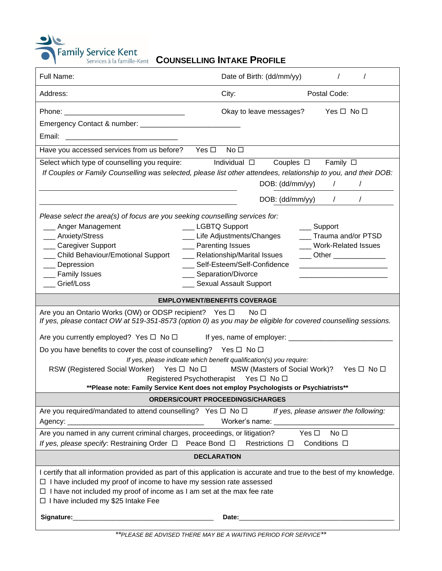|  |  |  |  | nt COUNSELLING INTAKE PROFILE |
|--|--|--|--|-------------------------------|
|--|--|--|--|-------------------------------|

| <b>Family Service Kent</b><br><b>COUNSELLING INTAKE PROFILE</b><br>Services à la famille-Kent                                                                                                                                                                                                                                                                                                                                                     |                                                                                            |          |  |  |  |  |
|---------------------------------------------------------------------------------------------------------------------------------------------------------------------------------------------------------------------------------------------------------------------------------------------------------------------------------------------------------------------------------------------------------------------------------------------------|--------------------------------------------------------------------------------------------|----------|--|--|--|--|
| Full Name:<br>Date of Birth: (dd/mm/yy)                                                                                                                                                                                                                                                                                                                                                                                                           | $\prime$                                                                                   | $\prime$ |  |  |  |  |
| City:<br>Address:                                                                                                                                                                                                                                                                                                                                                                                                                                 | Postal Code:                                                                               |          |  |  |  |  |
| Okay to leave messages?                                                                                                                                                                                                                                                                                                                                                                                                                           | Yes □ No □                                                                                 |          |  |  |  |  |
|                                                                                                                                                                                                                                                                                                                                                                                                                                                   |                                                                                            |          |  |  |  |  |
| Email:                                                                                                                                                                                                                                                                                                                                                                                                                                            |                                                                                            |          |  |  |  |  |
| No <sub>1</sub><br>Have you accessed services from us before? Yes $\Box$                                                                                                                                                                                                                                                                                                                                                                          |                                                                                            |          |  |  |  |  |
| Select which type of counselling you require:<br>Individual □<br>Couples $\square$ Family $\square$                                                                                                                                                                                                                                                                                                                                               |                                                                                            |          |  |  |  |  |
| If Couples or Family Counselling was selected, please list other attendees, relationship to you, and their DOB:                                                                                                                                                                                                                                                                                                                                   |                                                                                            |          |  |  |  |  |
| DOB: (dd/mm/yy)                                                                                                                                                                                                                                                                                                                                                                                                                                   | $\sqrt{2}$                                                                                 |          |  |  |  |  |
| DOB: (dd/mm/yy)                                                                                                                                                                                                                                                                                                                                                                                                                                   | $\sqrt{2}$                                                                                 | $\prime$ |  |  |  |  |
| Please select the area(s) of focus are you seeking counselling services for:<br>__ Anger Management<br>LGBTQ Support<br>__ Life Adjustments/Changes<br>Anxiety/Stress<br>___ Caregiver Support<br>___ Parenting Issues<br><b>Child Behaviour/Emotional Support</b><br>__ Relationship/Marital Issues<br>Self-Esteem/Self-Confidence<br>Depression<br><b>Family Issues</b><br>__ Separation/Divorce<br>Grief/Loss<br><b>Sexual Assault Support</b> | __ Support<br>Trauma and/or PTSD<br><b>Work-Related Issues</b><br>____ Other _____________ |          |  |  |  |  |
| <b>EMPLOYMENT/BENEFITS COVERAGE</b>                                                                                                                                                                                                                                                                                                                                                                                                               |                                                                                            |          |  |  |  |  |
| Are you an Ontario Works (OW) or ODSP recipient? Yes □<br>No <sub>1</sub><br>If yes, please contact OW at 519-351-8573 (option 0) as you may be eligible for covered counselling sessions.                                                                                                                                                                                                                                                        |                                                                                            |          |  |  |  |  |
| Are you currently employed? Yes $\Box$ No $\Box$                                                                                                                                                                                                                                                                                                                                                                                                  |                                                                                            |          |  |  |  |  |
| Do you have benefits to cover the cost of counselling? Yes $\Box$ No $\Box$                                                                                                                                                                                                                                                                                                                                                                       |                                                                                            |          |  |  |  |  |
| If yes, please indicate which benefit qualification(s) you require:<br>RSW (Registered Social Worker) Yes □ No □<br>MSW (Masters of Social Work)? Yes □ No □<br>Registered Psychotherapist Yes □ No □<br>** Please note: Family Service Kent does not employ Psychologists or Psychiatrists**                                                                                                                                                     |                                                                                            |          |  |  |  |  |
| ORDERS/COURT PROCEEDINGS/CHARGES                                                                                                                                                                                                                                                                                                                                                                                                                  |                                                                                            |          |  |  |  |  |
| Are you required/mandated to attend counselling? Yes $\Box$ No $\Box$ If yes, please answer the following:<br>Worker's name:<br>Worker's name:                                                                                                                                                                                                                                                                                                    |                                                                                            |          |  |  |  |  |
| Are you named in any current criminal charges, proceedings, or litigation? Yes □                                                                                                                                                                                                                                                                                                                                                                  | No <sub>1</sub>                                                                            |          |  |  |  |  |
| If yes, please specify: Restraining Order $\Box$ Peace Bond $\Box$ Restrictions $\Box$<br>Conditions $\square$                                                                                                                                                                                                                                                                                                                                    |                                                                                            |          |  |  |  |  |
| <b>DECLARATION</b>                                                                                                                                                                                                                                                                                                                                                                                                                                |                                                                                            |          |  |  |  |  |
| I certify that all information provided as part of this application is accurate and true to the best of my knowledge.<br>$\Box$ I have included my proof of income to have my session rate assessed<br>$\Box$ I have not included my proof of income as I am set at the max fee rate<br>□ I have included my \$25 Intake Fee                                                                                                                      |                                                                                            |          |  |  |  |  |
|                                                                                                                                                                                                                                                                                                                                                                                                                                                   |                                                                                            |          |  |  |  |  |